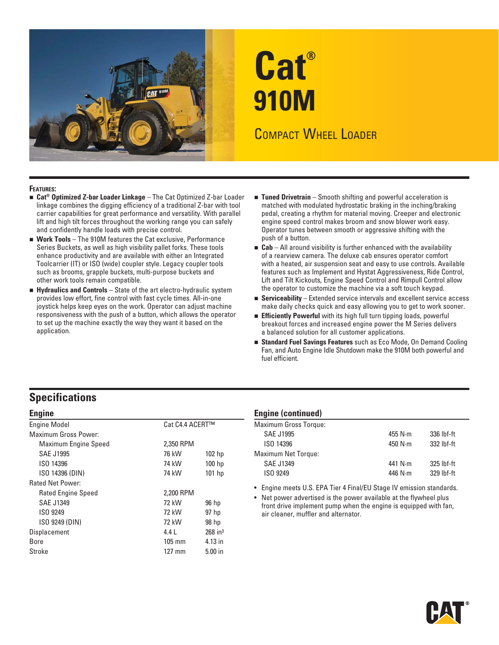

# **Cat® 910M**  COMPACT WHEEL LOADER

#### **FEATURES:**

- **Cat® Optimized Z-bar Loader Linkage** The Cat Optimized Z-bar Loader linkage combines the digging efficiency of a traditional Z-bar with tool carrier capabilities for great performance and versatility. With parallel lift and high tilt forces throughout the working range you can safely and confidently handle loads with precise control.
- **Work Tools** The 910M features the Cat exclusive, Performance Series Buckets, as well as high visibility pallet forks. These tools enhance productivity and are available with either an Integrated Toolcarrier (IT) or ISO (wide) coupler style. Legacy coupler tools such as brooms, grapple buckets, multi-purpose buckets and other work tools remain compatible.
- **Hydraulics and Controls**  State of the art electro-hydraulic system provides low effort, fine control with fast cycle times. All-in-one joystick helps keep eyes on the work. Operator can adjust machine responsiveness with the push of a button, which allows the operator to set up the machine exactly the way they want it based on the application.
- **Tuned Drivetrain**  Smooth shifting and powerful acceleration is matched with modulated hydrostatic braking in the inching/braking pedal, creating a rhythm for material moving. Creeper and electronic engine speed control makes broom and snow blower work easy. Operator tunes between smooth or aggressive shifting with the push of a button.
- **Cab**  All around visibility is further enhanced with the availability of a rearview camera. The deluxe cab ensures operator comfort with a heated, air suspension seat and easy to use controls. Available features such as Implement and Hystat Aggressiveness, Ride Control, Lift and Tilt Kickouts, Engine Speed Control and Rimpull Control allow the operator to customize the machine via a soft touch keypad.
- **Serviceability**  Extended service intervals and excellent service access make daily checks quick and easy allowing you to get to work sooner.
- **Efficiently Powerful** with its high full turn tipping loads, powerful breakout forces and increased engine power the M Series delivers a balanced solution for all customer applications.
- **Standard Fuel Savings Features** such as Eco Mode, On Demand Cooling Fan, and Auto Engine Idle Shutdown make the 910M both powerful and fuel efficient.

### **Specifications**

| <b>Engine</b>               |                  |                       |
|-----------------------------|------------------|-----------------------|
| <b>Engine Model</b>         | Cat C4.4 ACERT™  |                       |
| <b>Maximum Gross Power:</b> |                  |                       |
| <b>Maximum Engine Speed</b> | 2.350 RPM        |                       |
| <b>SAE J1995</b>            | 76 kW            | 102 <sub>hp</sub>     |
| ISO 14396                   | 74 kW            | 100 <sub>hp</sub>     |
| ISO 14396 (DIN)             | 74 kW            | 101 hp                |
| <b>Rated Net Power:</b>     |                  |                       |
| <b>Rated Engine Speed</b>   | 2,200 RPM        |                       |
| <b>SAE J1349</b>            | 72 kW            | 96 hp                 |
| ISO 9249                    | 72 kW            | 97 hp                 |
| ISO 9249 (DIN)              | 72 kW            | 98 hp                 |
| Displacement                | 4.4              | $268$ in <sup>3</sup> |
| Bore                        | $105 \text{ mm}$ | 4.13 in               |
| Stroke                      | 127 mm           | $5.00$ in             |

### **Engine (continued)**

| <b>Maximum Gross Torque:</b> |                 |              |
|------------------------------|-----------------|--------------|
| <b>SAE J1995</b>             | 455 N $\cdot$ m | 336 lbf-ft   |
| ISO 14396                    | 450 $N \cdot m$ | 332 lbf-ft   |
| <b>Maximum Net Torque:</b>   |                 |              |
| <b>SAE J1349</b>             | 441 $N \cdot m$ | $325$ lbf-ft |
| ISO 9249                     | 446 N $\cdot$ m | 329 lbf-ft   |
|                              |                 |              |

• Engine meets U.S. EPA Tier 4 Final/EU Stage IV emission standards.

• Net power advertised is the power available at the flywheel plus front drive implement pump when the engine is equipped with fan, air cleaner, muffler and alternator.

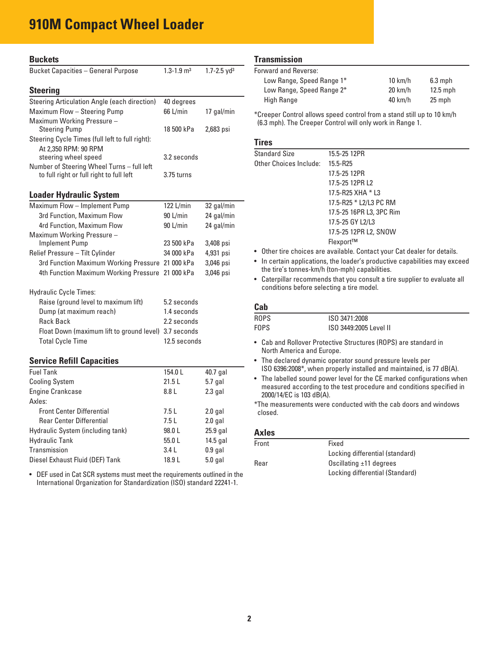## **910M Compact Wheel Loader**

| <b>Buckets</b>                                        |                            |                             |
|-------------------------------------------------------|----------------------------|-----------------------------|
| <b>Bucket Capacities - General Purpose</b>            | $1.3 - 1.9$ m <sup>3</sup> | $1.7 - 2.5$ yd <sup>3</sup> |
| <b>Steering</b>                                       |                            |                             |
| Steering Articulation Angle (each direction)          | 40 degrees                 |                             |
| Maximum Flow - Steering Pump                          | 66 L/min                   | 17 gal/min                  |
| Maximum Working Pressure -                            |                            |                             |
| <b>Steering Pump</b>                                  | 18 500 kPa                 | 2,683 psi                   |
| Steering Cycle Times (full left to full right):       |                            |                             |
| At 2,350 RPM: 90 RPM                                  |                            |                             |
| steering wheel speed                                  | 3.2 seconds                |                             |
| Number of Steering Wheel Turns - full left            |                            |                             |
| to full right or full right to full left              | 3.75 turns                 |                             |
|                                                       |                            |                             |
| <b>Loader Hydraulic System</b>                        |                            |                             |
| Maximum Flow - Implement Pump                         | 122 L/min                  | 32 gal/min                  |
| 3rd Function, Maximum Flow                            | 90 L/min                   | 24 gal/min                  |
| 4rd Function, Maximum Flow                            | 90 L/min                   | 24 gal/min                  |
| Maximum Working Pressure -                            |                            |                             |
| <b>Implement Pump</b>                                 | 23 500 kPa                 | 3,408 psi                   |
| Relief Pressure - Tilt Cylinder                       | 34 000 kPa                 | 4,931 psi                   |
| 3rd Function Maximum Working Pressure 21 000 kPa      |                            | 3,046 psi                   |
| 4th Function Maximum Working Pressure 21 000 kPa      |                            | 3,046 psi                   |
| <b>Hydraulic Cycle Times:</b>                         |                            |                             |
| Raise (ground level to maximum lift)                  | 5.2 seconds                |                             |
| Dump (at maximum reach)                               | 1.4 seconds                |                             |
| <b>Rack Back</b>                                      | 2.2 seconds                |                             |
| Float Down (maximum lift to ground level) 3.7 seconds |                            |                             |
| <b>Total Cycle Time</b>                               | 12.5 seconds               |                             |
|                                                       |                            |                             |
| <b>Service Refill Capacities</b>                      |                            |                             |
| <b>Fuel Tank</b>                                      | 154.0L                     | 40.7 gal                    |
| <b>Cooling System</b>                                 | 21.5L                      | 5.7 gal                     |
| <b>Engine Crankcase</b>                               | 8.8 L                      | 2.3 gal                     |
| Axles:                                                |                            |                             |
| <b>Front Center Differential</b>                      | 7.5 L                      | 2.0 gal                     |
| Roar Contor Difforantial                              | 751                        | len0                        |

| <b>Rear Center Differential</b>   | 7.5 L  | $2.0$ gal  |
|-----------------------------------|--------|------------|
| Hydraulic System (including tank) | 98.0L  | $25.9$ gal |
| Hydraulic Tank                    | 55.0L  | 14.5 gal   |
| Transmission                      | 3.41   | $0.9$ gal  |
| Diesel Exhaust Fluid (DEF) Tank   | 18.9 L | $5.0$ gal  |
|                                   |        |            |

 • DEF used in Cat SCR systems must meet the requirements outlined in the International Organization for Standardization (ISO) standard 22241-1.

### **Transmission**

| Forward and Reverse:      |                   |            |
|---------------------------|-------------------|------------|
| Low Range, Speed Range 1* | $10 \text{ km/h}$ | $6.3$ mph  |
| Low Range, Speed Range 2* | $20 \text{ km/h}$ | $12.5$ mph |
| High Range                | $40 \text{ km/h}$ | 25 mph     |

\*Creeper Control allows speed control from a stand still up to 10 km/h (6.3 mph). The Creeper Control will only work in Range 1.

### **Tires**

| <b>Standard Size</b>   | 15.5-25 12PR             |
|------------------------|--------------------------|
| Other Choices Include: | 15.5-R25                 |
|                        | 17.5-25 12PR             |
|                        | 17.5-25 12PR L2          |
|                        | 17.5-R25 XHA * L3        |
|                        | 17.5-R25 * L2/L3 PC RM   |
|                        | 17.5-25 16PR L3, 3PC Rim |
|                        | 17.5-25 GY L2/L3         |
|                        | 17.5-25 12PR L2, SNOW    |
|                        | Flexport™                |
|                        |                          |

- Other tire choices are available. Contact your Cat dealer for details.
- In certain applications, the loader's productive capabilities may exceed the tire's tonnes-km/h (ton-mph) capabilities.
- Caterpillar recommends that you consult a tire supplier to evaluate all conditions before selecting a tire model.

### **Cab**

| ---  |                        |
|------|------------------------|
| ROPS | ISO 3471:2008          |
| FOPS | ISO 3449:2005 Level II |

- Cab and Rollover Protective Structures (ROPS) are standard in North America and Europe.
- The declared dynamic operator sound pressure levels per ISO 6396:2008\*, when properly installed and maintained, is 77 dB(A).
- The labelled sound power level for the CE marked configurations when measured according to the test procedure and conditions specified in 2000/14/EC is 103 dB(A).

\*The measurements were conducted with the cab doors and windows closed.

### **Axles**

| Front | Fixed                           |
|-------|---------------------------------|
|       | Locking differential (standard) |
| Rear  | Oscillating $\pm$ 11 degrees    |
|       | Locking differential (Standard) |
|       |                                 |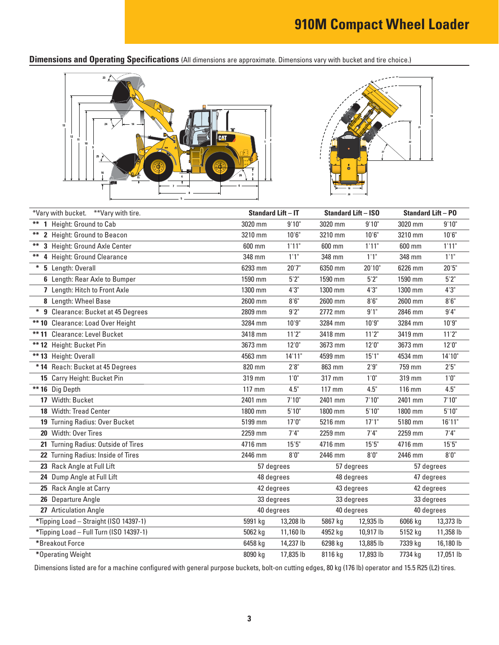**Dimensions and Operating Specifications** (All dimensions are approximate. Dimensions vary with bucket and tire choice.)





|    | *Vary with bucket. **Vary with tire.    | <b>Standard Lift - IT</b> |           | <b>Standard Lift - ISO</b> |           | <b>Standard Lift - PO</b> |                      |
|----|-----------------------------------------|---------------------------|-----------|----------------------------|-----------|---------------------------|----------------------|
|    | ** 1 Height: Ground to Cab              | 3020 mm                   | 9'10"     | 3020 mm                    | 9'10"     | 3020 mm                   | 9'10"                |
| ** | 2 Height: Ground to Beacon              | 3210 mm                   | 10'6''    | 3210 mm                    | 10'6''    | 3210 mm                   | 10'6''               |
| ** | 3 Height: Ground Axle Center            | 600 mm                    | 1'11"     | 600 mm                     | 1'11"     | 600 mm                    | 1'11"                |
|    | 4 Height: Ground Clearance              | 348 mm                    | 1'1"      | 348 mm                     | 1'1"      | 348 mm                    | 1'1"                 |
|    | * 5 Length: Overall                     | 6293 mm                   | 20'7''    | 6350 mm                    | 20'10"    | 6226 mm                   | 20'5"                |
|    | 6 Length: Rear Axle to Bumper           | 1590 mm                   | 5'2''     | 1590 mm                    | 5'2''     | 1590 mm                   | $5'2"$               |
|    | 7 Length: Hitch to Front Axle           | 1300 mm                   | 4'3''     | 1300 mm                    | 4'3''     | 1300 mm                   | 4'3''                |
|    | 8 Length: Wheel Base                    | 2600 mm                   | 8'6''     | 2600 mm                    | 8'6''     | 2600 mm                   | $8'6''$              |
|    | * 9 Clearance: Bucket at 45 Degrees     | 2809 mm                   | 9'2"      | 2772 mm                    | 9'1"      | 2846 mm                   | 9'4"                 |
|    | ** 10 Clearance: Load Over Height       | 3284 mm                   | 10'9''    | 3284 mm                    | 10'9''    | 3284 mm                   | 10'9''               |
|    | ** 11 Clearance: Level Bucket           | 3418 mm                   | 11'2"     | 3418 mm                    | 11'2"     | 3419 mm                   | 11'2"                |
|    | ** 12 Height: Bucket Pin                | 3673 mm                   | 12'0''    | 3673 mm                    | 12'0''    | 3673 mm                   | 12'0''               |
|    | ** 13 Height: Overall                   | 4563 mm                   | 14'11"    | 4599 mm                    | 15'1"     | 4534 mm                   | 14'10"               |
|    | * 14 Reach: Bucket at 45 Degrees        | 820 mm                    | $2'8"$    | 863 mm                     | 2'9''     | 759 mm                    | $2^{\circ}5^{\circ}$ |
|    | 15 Carry Height: Bucket Pin             | 319 mm                    | 1'0''     | 317 mm                     | 1'0''     | 319 mm                    | 1'0''                |
|    | ** 16 Dig Depth                         | 117 mm                    | 4.5"      | 117 mm                     | 4.5"      | 116 mm                    | 4.5"                 |
|    | 17 Width: Bucket                        | 2401 mm                   | 7'10"     | 2401 mm                    | 7'10''    | 2401 mm                   | 7'10''               |
|    | 18 Width: Tread Center                  | 1800 mm                   | 5'10''    | 1800 mm                    | 5'10"     | 1800 mm                   | 5'10''               |
|    | 19 Turning Radius: Over Bucket          | 5199 mm                   | 17'0''    | 5216 mm                    | 17'1"     | 5180 mm                   | 16'11"               |
|    | 20 Width: Over Tires                    | 2259 mm                   | 7'4''     | 2259 mm                    | 7'4''     | 2259 mm                   | 7'4''                |
|    | 21 Turning Radius: Outside of Tires     | 4716 mm                   | 15'5''    | 4716 mm                    | 15'5''    | 4716 mm                   | 15'5''               |
|    | 22 Turning Radius: Inside of Tires      | 2446 mm                   | 8'0''     | 2446 mm                    | 8'0''     | 2446 mm                   | 8'0''                |
|    | 23 Rack Angle at Full Lift              | 57 degrees                |           | 57 degrees                 |           | 57 degrees                |                      |
|    | 24 Dump Angle at Full Lift              | 48 degrees                |           | 48 degrees                 |           | 47 degrees                |                      |
|    | 25 Rack Angle at Carry                  | 42 degrees                |           | 43 degrees                 |           | 42 degrees                |                      |
|    | 26 Departure Angle                      | 33 degrees                |           | 33 degrees                 |           | 33 degrees                |                      |
|    | 27 Articulation Angle                   | 40 degrees                |           | 40 degrees                 |           | 40 degrees                |                      |
|    | *Tipping Load - Straight (ISO 14397-1)  | 5991 kg                   | 13,208 lb | 5867 kg                    | 12,935 lb | 6066 kg                   | 13,373 lb            |
|    | *Tipping Load - Full Turn (ISO 14397-1) | 5062 kg                   | 11,160 lb | 4952 kg                    | 10,917 lb | 5152 kg                   | 11,358 lb            |
|    | *Breakout Force                         | 6458 kg                   | 14,237 lb | 6298 kg                    | 13,885 lb | 7339 kg                   | 16,180 lb            |
|    | *Operating Weight                       | 8090 kg                   | 17,835 lb | 8116 kg                    | 17,893 lb | 7734 kg                   | 17,051 lb            |

Dimensions listed are for a machine configured with general purpose buckets, bolt-on cutting edges, 80 kg (176 lb) operator and 15.5 R25 (L2) tires.